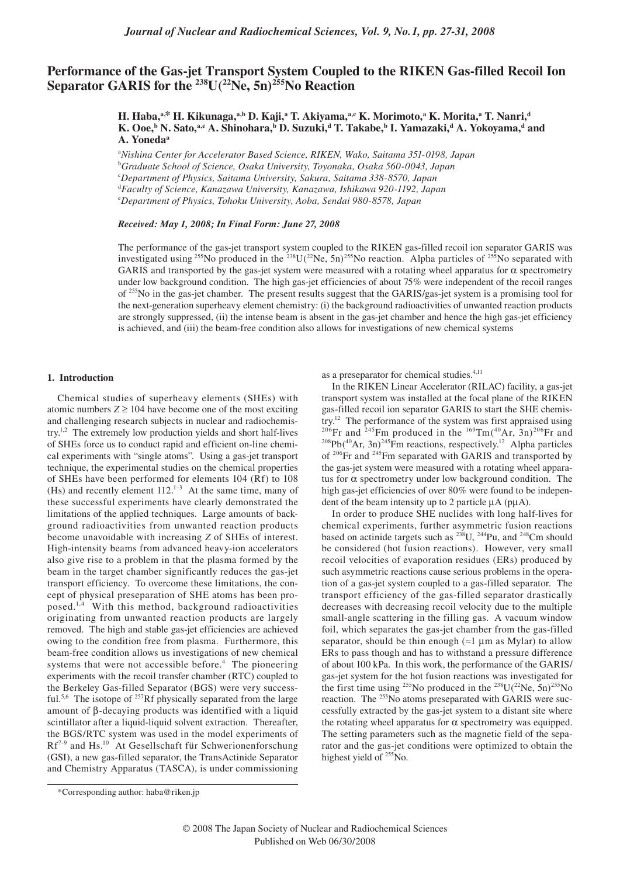# **Performance of the Gas-jet Transport System Coupled to the RIKEN Gas-filled Recoil Ion**  Separator GARIS for the <sup>238</sup>U(<sup>22</sup>Ne, 5n)<sup>255</sup>No Reaction

**H. Haba,<sup>a,\*</sup> H. Kikunaga,<sup>a,b</sup> D. Kaji,<sup>a</sup> T. Akiyama,<sup>a,c</sup> K. Morimoto,<sup>a</sup> K. Morita,<sup>a</sup> T. Nanri,<sup>d</sup>** K. Ooe,<sup>b</sup> N. Sato,<sup>a,c</sup> A. Shinohara,<sup>b</sup> D. Suzuki,<sup>d</sup> T. Takabe,<sup>b</sup> I. Yamazaki,<sup>d</sup> A. Yokoyama,<sup>d</sup> and **A. Yonedaa**

a *Nishina Center for Accelerator Based Science, RIKEN, Wako, Saitama 351-0198, Japan*

c *Department of Physics, Saitama University, Sakura, Saitama 338-8570, Japan*

d *Faculty of Science, Kanazawa University, Kanazawa, Ishikawa 920-1192, Japan*

e *Department of Physics, Tohoku University, Aoba, Sendai 980-8578, Japan*

## *Received: May 1, 2008; In Final Form: June 27, 2008*

The performance of the gas-jet transport system coupled to the RIKEN gas-filled recoil ion separator GARIS was investigated using <sup>255</sup>No produced in the <sup>238</sup>U(<sup>22</sup>Ne, 5n)<sup>255</sup>No reaction. Alpha particles of <sup>255</sup>No separated with GARIS and transported by the gas-jet system were measured with a rotating wheel apparatus for  $\alpha$  spectrometry under low background condition. The high gas-jet efficiencies of about 75% were independent of the recoil ranges of 255No in the gas-jet chamber. The present results suggest that the GARIS/gas-jet system is a promising tool for the next-generation superheavy element chemistry: (i) the background radioactivities of unwanted reaction products are strongly suppressed, (ii) the intense beam is absent in the gas-jet chamber and hence the high gas-jet efficiency is achieved, and (iii) the beam-free condition also allows for investigations of new chemical systems

### **1. Introduction**

Chemical studies of superheavy elements (SHEs) with atomic numbers  $Z \ge 104$  have become one of the most exciting and challenging research subjects in nuclear and radiochemistry.1,2 The extremely low production yields and short half-lives of SHEs force us to conduct rapid and efficient on-line chemical experiments with "single atoms". Using a gas-jet transport technique, the experimental studies on the chemical properties of SHEs have been performed for elements 104 (Rf) to 108 (Hs) and recently element  $112.^{1-3}$  At the same time, many of these successful experiments have clearly demonstrated the limitations of the applied techniques. Large amounts of background radioactivities from unwanted reaction products become unavoidable with increasing *Z* of SHEs of interest. High-intensity beams from advanced heavy-ion accelerators also give rise to a problem in that the plasma formed by the beam in the target chamber significantly reduces the gas-jet transport efficiency. To overcome these limitations, the concept of physical preseparation of SHE atoms has been proposed.1,4 With this method, background radioactivities originating from unwanted reaction products are largely removed. The high and stable gas-jet efficiencies are achieved owing to the condition free from plasma. Furthermore, this beam-free condition allows us investigations of new chemical systems that were not accessible before. $4$  The pioneering experiments with the recoil transfer chamber (RTC) coupled to the Berkeley Gas-filled Separator (BGS) were very successful.<sup>5,6</sup> The isotope of <sup>257</sup>Rf physically separated from the large amount of β-decaying products was identified with a liquid scintillator after a liquid-liquid solvent extraction. Thereafter, the BGS/RTC system was used in the model experiments of Rf<sup>7-9</sup> and Hs.<sup>10</sup> At Gesellschaft für Schwerionenforschung (GSI), a new gas-filled separator, the TransActinide Separator and Chemistry Apparatus (TASCA), is under commissioning

as a preseparator for chemical studies.<sup>4,11</sup>

In the RIKEN Linear Accelerator (RILAC) facility, a gas-jet transport system was installed at the focal plane of the RIKEN gas-filled recoil ion separator GARIS to start the SHE chemis-<br>try.<sup>12</sup> The performance of the system was first appraised using <sup>206</sup>Fr and <sup>245</sup>Fm produced in the <sup>169</sup>Tm(<sup>40</sup>Ar, 3n)<sup>206</sup>Fr and <sup>208</sup>Pb(<sup>40</sup>Ar, 3n)<sup>245</sup>Fm reactions, respectively.<sup>12</sup> Alpha particles of 206Fr and 245Fm separated with GARIS and transported by the gas-jet system were measured with a rotating wheel apparatus for  $\alpha$  spectrometry under low background condition. The high gas-jet efficiencies of over 80% were found to be independent of the beam intensity up to 2 particle  $\mu$ A ( $\mu$  $\mu$ A).

In order to produce SHE nuclides with long half-lives for chemical experiments, further asymmetric fusion reactions based on actinide targets such as  $^{238}$ U,  $^{244}$ Pu, and  $^{248}$ Cm should be considered (hot fusion reactions). However, very small recoil velocities of evaporation residues (ERs) produced by such asymmetric reactions cause serious problems in the operation of a gas-jet system coupled to a gas-filled separator. The transport efficiency of the gas-filled separator drastically decreases with decreasing recoil velocity due to the multiple small-angle scattering in the filling gas. A vacuum window foil, which separates the gas-jet chamber from the gas-filled separator, should be thin enough ( $\approx$ 1 µm as Mylar) to allow ERs to pass though and has to withstand a pressure difference of about 100 kPa. In this work, the performance of the GARIS/ gas-jet system for the hot fusion reactions was investigated for the first time using <sup>255</sup>No produced in the <sup>238</sup>U( $^{22}$ Ne, 5n)<sup>255</sup>No reaction. The <sup>255</sup>No atoms preseparated with GARIS were successfully extracted by the gas-jet system to a distant site where the rotating wheel apparatus for  $\alpha$  spectrometry was equipped. The setting parameters such as the magnetic field of the separator and the gas-jet conditions were optimized to obtain the highest yield of <sup>255</sup>No.

b *Graduate School of Science, Osaka University, Toyonaka, Osaka 560-0043, Japan*

<sup>\*</sup>Corresponding author: haba@riken.jp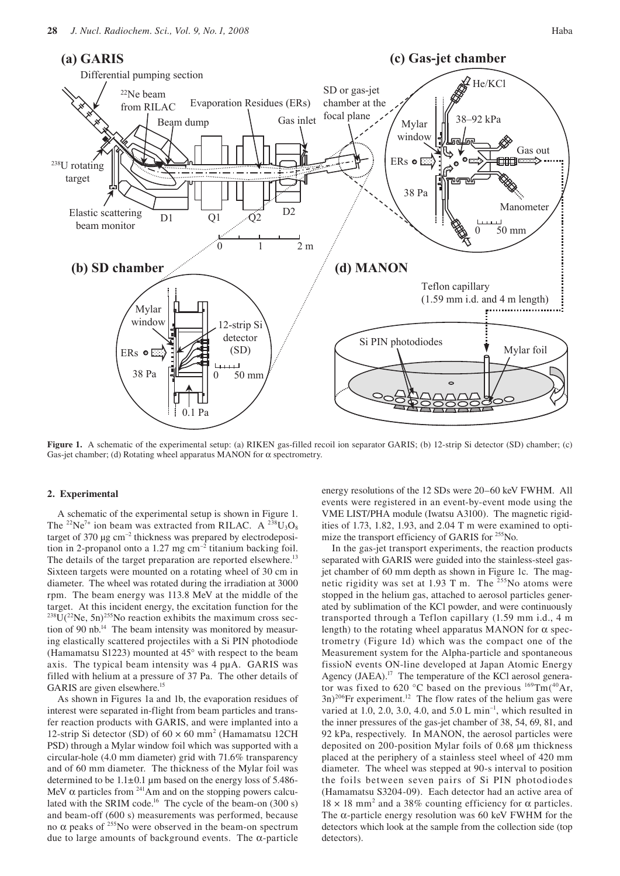

**Figure 1.** A schematic of the experimental setup: (a) RIKEN gas-filled recoil ion separator GARIS; (b) 12-strip Si detector (SD) chamber; (c) Gas-jet chamber; (d) Rotating wheel apparatus MANON for  $\alpha$  spectrometry.

# **2. Experimental**

A schematic of the experimental setup is shown in Figure 1. The <sup>22</sup>Ne<sup>7+</sup> ion beam was extracted from RILAC. A <sup>238</sup>U<sub>3</sub>O<sub>8</sub> target of 370  $\mu$ g cm<sup>-2</sup> thickness was prepared by electrodeposition in 2-propanol onto a 1.27 mg  $cm^{-2}$  titanium backing foil. The details of the target preparation are reported elsewhere.<sup>13</sup> Sixteen targets were mounted on a rotating wheel of 30 cm in diameter. The wheel was rotated during the irradiation at 3000 rpm. The beam energy was 113.8 MeV at the middle of the target. At this incident energy, the excitation function for the  $^{238}$ U( $^{22}$ Ne, 5n) $^{255}$ No reaction exhibits the maximum cross section of 90 nb.14 The beam intensity was monitored by measuring elastically scattered projectiles with a Si PIN photodiode (Hamamatsu S1223) mounted at 45° with respect to the beam axis. The typical beam intensity was 4 pµA. GARIS was filled with helium at a pressure of 37 Pa. The other details of GARIS are given elsewhere.<sup>15</sup>

As shown in Figures 1a and 1b, the evaporation residues of interest were separated in-flight from beam particles and transfer reaction products with GARIS, and were implanted into a 12-strip Si detector (SD) of  $60 \times 60$  mm<sup>2</sup> (Hamamatsu 12CH PSD) through a Mylar window foil which was supported with a circular-hole (4.0 mm diameter) grid with 71.6% transparency and of 60 mm diameter. The thickness of the Mylar foil was determined to be  $1.1\pm0.1$  µm based on the energy loss of 5.486-MeV  $\alpha$  particles from <sup>241</sup>Am and on the stopping powers calculated with the SRIM code.<sup>16</sup> The cycle of the beam-on  $(300 s)$ and beam-off (600 s) measurements was performed, because no α peaks of  $255$ No were observed in the beam-on spectrum due to large amounts of background events. The α-particle

energy resolutions of the 12 SDs were 20–60 keV FWHM. All events were registered in an event-by-event mode using the VME LIST/PHA module (Iwatsu A3100). The magnetic rigidities of 1.73, 1.82, 1.93, and 2.04 T m were examined to optimize the transport efficiency of GARIS for <sup>255</sup>No.

In the gas-jet transport experiments, the reaction products separated with GARIS were guided into the stainless-steel gasjet chamber of 60 mm depth as shown in Figure 1c. The magnetic rigidity was set at 1.93 T m. The  $255N$ o atoms were stopped in the helium gas, attached to aerosol particles generated by sublimation of the KCl powder, and were continuously transported through a Teflon capillary (1.59 mm i.d., 4 m length) to the rotating wheel apparatus MANON for  $\alpha$  spectrometry (Figure 1d) which was the compact one of the Measurement system for the Alpha-particle and spontaneous fissioN events ON-line developed at Japan Atomic Energy Agency (JAEA).<sup>17</sup> The temperature of the KCl aerosol generator was fixed to 620 °C based on the previous  $^{169}$ Tm(<sup>40</sup>Ar,  $(3n)^{206}$ Fr experiment.<sup>12</sup> The flow rates of the helium gas were varied at 1.0, 2.0, 3.0, 4.0, and 5.0 L min<sup>-1</sup>, which resulted in the inner pressures of the gas-jet chamber of 38, 54, 69, 81, and 92 kPa, respectively. In MANON, the aerosol particles were deposited on 200-position Mylar foils of 0.68 µm thickness placed at the periphery of a stainless steel wheel of 420 mm diameter. The wheel was stepped at 90-s interval to position the foils between seven pairs of Si PIN photodiodes (Hamamatsu S3204-09). Each detector had an active area of  $18 \times 18$  mm<sup>2</sup> and a 38% counting efficiency for  $\alpha$  particles. The  $\alpha$ -particle energy resolution was 60 keV FWHM for the detectors which look at the sample from the collection side (top detectors).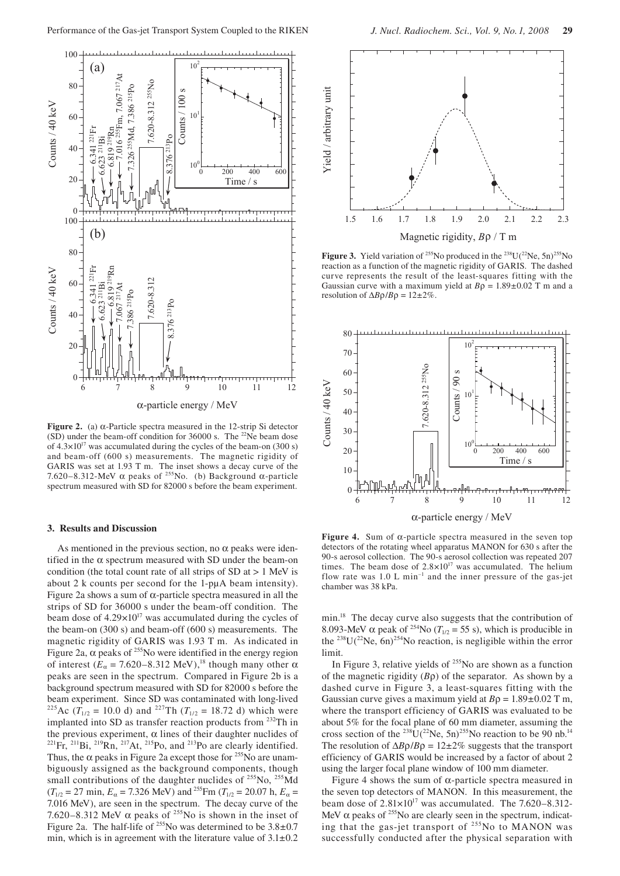

**Figure 2.** (a) α-Particle spectra measured in the 12-strip Si detector (SD) under the beam-off condition for 36000 s. The <sup>22</sup>Ne beam dose of  $4.3 \times 10^{17}$  was accumulated during the cycles of the beam-on (300 s) and beam-off (600 s) measurements. The magnetic rigidity of GARIS was set at 1.93 T m. The inset shows a decay curve of the 7.620–8.312-MeV α peaks of <sup>255</sup>No. (b) Background α-particle spectrum measured with SD for 82000 s before the beam experiment.

## **3. Results and Discussion**

As mentioned in the previous section, no  $\alpha$  peaks were identified in the  $\alpha$  spectrum measured with SD under the beam-on condition (the total count rate of all strips of  $SD$  at  $> 1$  MeV is about 2 k counts per second for the 1-pµA beam intensity). Figure 2a shows a sum of  $α$ -particle spectra measured in all the strips of SD for 36000 s under the beam-off condition. The beam dose of  $4.29 \times 10^{17}$  was accumulated during the cycles of the beam-on (300 s) and beam-off (600 s) measurements. The magnetic rigidity of GARIS was 1.93 T m. As indicated in Figure 2a,  $\alpha$  peaks of <sup>255</sup>No were identified in the energy region of interest ( $E_\alpha$  = 7.620–8.312 MeV),<sup>18</sup> though many other α peaks are seen in the spectrum. Compared in Figure 2b is a background spectrum measured with SD for 82000 s before the beam experiment. Since SD was contaminated with long-lived <sup>225</sup>Ac ( $\hat{T}_{1/2}$  = 10.0 d) and <sup>227</sup>Th ( $T_{1/2}$  = 18.72 d) which were implanted into SD as transfer reaction products from 232Th in the previous experiment, α lines of their daughter nuclides of  $^{221}$ Fr,  $^{211}$ Bi,  $^{219}$ Rn,  $^{217}$ At,  $^{215}$ Po, and  $^{213}$ Po are clearly identified. Thus, the  $\alpha$  peaks in Figure 2a except those for <sup>255</sup>No are unambiguously assigned as the background components, though small contributions of the daughter nuclides of <sup>255</sup>No, <sup>255</sup>Md  $(T_{1/2} = 27 \text{ min}, E_\alpha = 7.326 \text{ MeV})$  and <sup>255</sup> Fm  $(T_{1/2} = 20.07 \text{ h}, E_\alpha =$ 7.016 MeV), are seen in the spectrum. The decay curve of the 7.620–8.312 MeV  $\alpha$  peaks of <sup>255</sup>No is shown in the inset of Figure 2a. The half-life of  $^{255}$ No was determined to be  $3.8\pm0.7$ min, which is in agreement with the literature value of  $3.1 \pm 0.2$ 



**Figure 3.** Yield variation of <sup>255</sup>No produced in the <sup>238</sup>U( $^{22}$ Ne, 5n)<sup>255</sup>No reaction as a function of the magnetic rigidity of GARIS. The dashed curve represents the result of the least-squares fitting with the Gaussian curve with a maximum yield at  $B\rho = 1.89 \pm 0.02$  T m and a resolution of  $\Delta B \rho / B \rho = 12 \pm 2\%$ .



**Figure 4.** Sum of  $\alpha$ -particle spectra measured in the seven top detectors of the rotating wheel apparatus MANON for 630 s after the 90-s aerosol collection. The 90-s aerosol collection was repeated 207 times. The beam dose of  $2.8 \times 10^{17}$  was accumulated. The helium flow rate was  $1.0 \text{ L min}^{-1}$  and the inner pressure of the gas-jet chamber was 38 kPa.

min.<sup>18</sup> The decay curve also suggests that the contribution of 8.093-MeV  $\alpha$  peak of <sup>254</sup>No ( $T_{1/2} = 55$  s), which is producible in the <sup>238</sup>U( $^{22}$ Ne, 6n)<sup>254</sup>No reaction, is negligible within the error limit.

In Figure 3, relative yields of  $255$ No are shown as a function of the magnetic rigidity (*B*ρ) of the separator. As shown by a dashed curve in Figure 3, a least-squares fitting with the Gaussian curve gives a maximum yield at *B*ρ = 1.89±0.02 T m, where the transport efficiency of GARIS was evaluated to be about 5% for the focal plane of 60 mm diameter, assuming the cross section of the <sup>238</sup>U(<sup>22</sup>Ne, 5n)<sup>255</sup>No reaction to be 90 nb.<sup>14</sup> The resolution of  $\Delta B \rho / B \rho = 12 \pm 2\%$  suggests that the transport efficiency of GARIS would be increased by a factor of about 2 using the larger focal plane window of 100 mm diameter.

Figure 4 shows the sum of  $\alpha$ -particle spectra measured in the seven top detectors of MANON. In this measurement, the beam dose of  $2.81 \times 10^{17}$  was accumulated. The 7.620–8.312-MeV  $\alpha$  peaks of <sup>255</sup>No are clearly seen in the spectrum, indicating that the gas-jet transport of 255No to MANON was successfully conducted after the physical separation with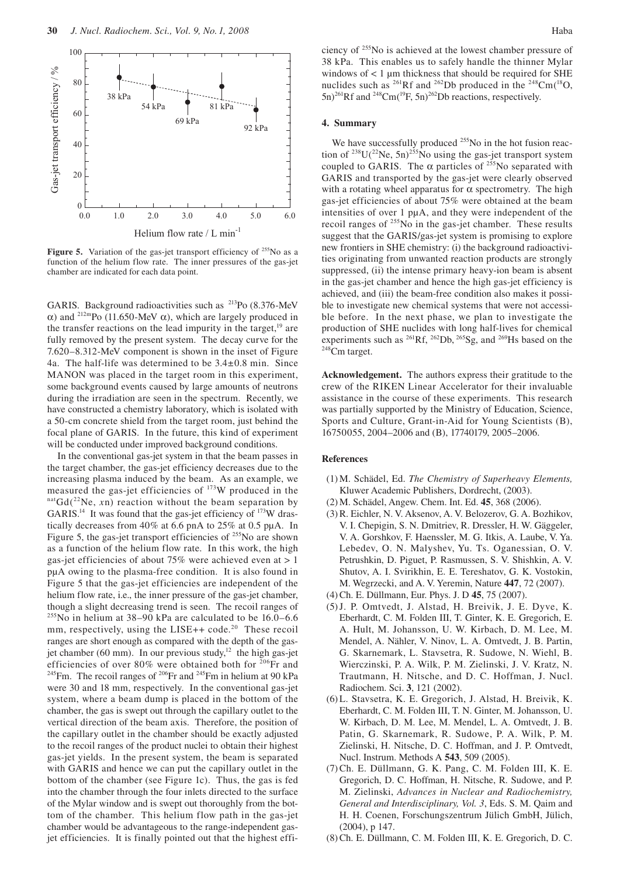

Figure 5. Variation of the gas-jet transport efficiency of <sup>255</sup>No as a function of the helium flow rate. The inner pressures of the gas-jet chamber are indicated for each data point.

GARIS. Background radioactivities such as <sup>213</sup>Po (8.376-MeV α) and 212mPo (11.650-MeV α), which are largely produced in the transfer reactions on the lead impurity in the target, $19$  are fully removed by the present system. The decay curve for the 7.620–8.312-MeV component is shown in the inset of Figure 4a. The half-life was determined to be 3.4±0.8 min. Since MANON was placed in the target room in this experiment, some background events caused by large amounts of neutrons during the irradiation are seen in the spectrum. Recently, we have constructed a chemistry laboratory, which is isolated with a 50-cm concrete shield from the target room, just behind the focal plane of GARIS. In the future, this kind of experiment will be conducted under improved background conditions.

In the conventional gas-jet system in that the beam passes in the target chamber, the gas-jet efficiency decreases due to the increasing plasma induced by the beam. As an example, we measured the gas-jet efficiencies of  $^{173}$ W produced in the natGd( $^{22}$ Ne, *xn*) reaction without the beam separation by GARIS.<sup>14</sup> It was found that the gas-jet efficiency of  $173$ W drastically decreases from 40% at 6.6 pnA to 25% at 0.5 pµA. In Figure 5, the gas-jet transport efficiencies of <sup>255</sup>No are shown as a function of the helium flow rate. In this work, the high gas-jet efficiencies of about 75% were achieved even at > 1 pµA owing to the plasma-free condition. It is also found in Figure 5 that the gas-jet efficiencies are independent of the helium flow rate, i.e., the inner pressure of the gas-jet chamber, though a slight decreasing trend is seen. The recoil ranges of  $255$ No in helium at 38–90 kPa are calculated to be 16.0–6.6 mm, respectively, using the LISE++ code.<sup>20</sup> These recoil ranges are short enough as compared with the depth of the gasjet chamber (60 mm). In our previous study, $12$  the high gas-jet efficiencies of over 80% were obtained both for <sup>206</sup>Fr and <sup>245</sup>Fm. The recoil ranges of <sup>206</sup>Fr and <sup>245</sup>Fm in helium at 90 kPa were 30 and 18 mm, respectively. In the conventional gas-jet system, where a beam dump is placed in the bottom of the chamber, the gas is swept out through the capillary outlet to the vertical direction of the beam axis. Therefore, the position of the capillary outlet in the chamber should be exactly adjusted to the recoil ranges of the product nuclei to obtain their highest gas-jet yields. In the present system, the beam is separated with GARIS and hence we can put the capillary outlet in the bottom of the chamber (see Figure 1c). Thus, the gas is fed into the chamber through the four inlets directed to the surface of the Mylar window and is swept out thoroughly from the bottom of the chamber. This helium flow path in the gas-jet chamber would be advantageous to the range-independent gasjet efficiencies. It is finally pointed out that the highest efficiency of 255No is achieved at the lowest chamber pressure of 38 kPa. This enables us to safely handle the thinner Mylar windows of  $< 1 \mu$ m thickness that should be required for SHE nuclides such as <sup>261</sup>Rf and <sup>262</sup>Db produced in the <sup>248</sup>Cm(<sup>18</sup>O,  $(5n)^{261}$ Rf and  $^{248}$ Cm( $^{19}$ F,  $(5n)^{262}$ Db reactions, respectively.

#### **4. Summary**

We have successfully produced <sup>255</sup>No in the hot fusion reaction of  $^{238}U(^{22}Ne, 5n)^{255}No$  using the gas-jet transport system coupled to GARIS. The  $\alpha$  particles of <sup>255</sup>No separated with GARIS and transported by the gas-jet were clearly observed with a rotating wheel apparatus for  $\alpha$  spectrometry. The high gas-jet efficiencies of about 75% were obtained at the beam intensities of over 1 pµA, and they were independent of the recoil ranges of <sup>255</sup>No in the gas-jet chamber. These results suggest that the GARIS/gas-jet system is promising to explore new frontiers in SHE chemistry: (i) the background radioactivities originating from unwanted reaction products are strongly suppressed, (ii) the intense primary heavy-ion beam is absent in the gas-jet chamber and hence the high gas-jet efficiency is achieved, and (iii) the beam-free condition also makes it possible to investigate new chemical systems that were not accessible before. In the next phase, we plan to investigate the production of SHE nuclides with long half-lives for chemical experiments such as <sup>261</sup>Rf, <sup>262</sup>Db, <sup>265</sup>Sg, and <sup>269</sup>Hs based on the <sup>248</sup>Cm target.

**Acknowledgement.** The authors express their gratitude to the crew of the RIKEN Linear Accelerator for their invaluable assistance in the course of these experiments. This research was partially supported by the Ministry of Education, Science, Sports and Culture, Grant-in-Aid for Young Scientists (B), 16750055, 2004–2006 and (B), 17740179, 2005–2006.

## **References**

- (1) M. Schädel, Ed. *The Chemistry of Superheavy Elements,* Kluwer Academic Publishers, Dordrecht, (2003).
- (2) M. Schädel, Angew. Chem. Int. Ed. **45**, 368 (2006).
- (3) R. Eichler, N. V. Aksenov, A. V. Belozerov, G. A. Bozhikov, V. I. Chepigin, S. N. Dmitriev, R. Dressler, H. W. Gäggeler, V. A. Gorshkov, F. Haenssler, M. G. Itkis, A. Laube, V. Ya. Lebedev, O. N. Malyshev, Yu. Ts. Oganessian, O. V. Petrushkin, D. Piguet, P. Rasmussen, S. V. Shishkin, A. V. Shutov, A. I. Svirikhin, E. E. Tereshatov, G. K. Vostokin, M. Wegrzecki, and A. V. Yeremin, Nature **447**, 72 (2007).
- (4) Ch. E. Düllmann, Eur. Phys. J. D **45**, 75 (2007).
- (5) J. P. Omtvedt, J. Alstad, H. Breivik, J. E. Dyve, K. Eberhardt, C. M. Folden III, T. Ginter, K. E. Gregorich, E. A. Hult, M. Johansson, U. W. Kirbach, D. M. Lee, M. Mendel, A. Nähler, V. Ninov, L. A. Omtvedt, J. B. Partin, G. Skarnemark, L. Stavsetra, R. Sudowe, N. Wiehl, B. Wierczinski, P. A. Wilk, P. M. Zielinski, J. V. Kratz, N. Trautmann, H. Nitsche, and D. C. Hoffman, J. Nucl. Radiochem. Sci. **3**, 121 (2002).
- (6) L. Stavsetra, K. E. Gregorich, J. Alstad, H. Breivik, K. Eberhardt, C. M. Folden III, T. N. Ginter, M. Johansson, U. W. Kirbach, D. M. Lee, M. Mendel, L. A. Omtvedt, J. B. Patin, G. Skarnemark, R. Sudowe, P. A. Wilk, P. M. Zielinski, H. Nitsche, D. C. Hoffman, and J. P. Omtvedt, Nucl. Instrum. Methods A **543**, 509 (2005).
- (7) Ch. E. Düllmann, G. K. Pang, C. M. Folden III, K. E. Gregorich, D. C. Hoffman, H. Nitsche, R. Sudowe, and P. M. Zielinski, *Advances in Nuclear and Radiochemistry, General and Interdisciplinary, Vol. 3*, Eds. S. M. Qaim and H. H. Coenen, Forschungszentrum Jülich GmbH, Jülich, (2004), p 147.
- (8) Ch. E. Düllmann, C. M. Folden III, K. E. Gregorich, D. C.